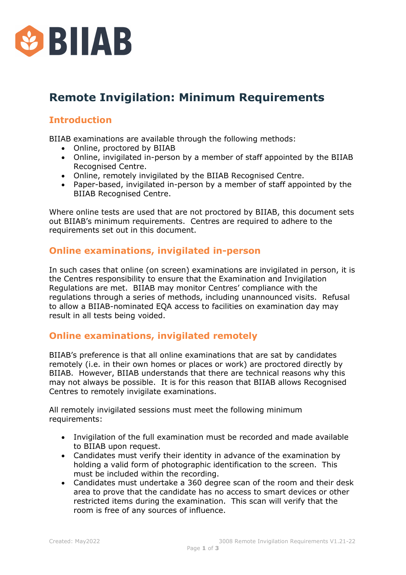

# **Remote Invigilation: Minimum Requirements**

## **Introduction**

BIIAB examinations are available through the following methods:

- Online, proctored by BIIAB
- Online, invigilated in-person by a member of staff appointed by the BIIAB Recognised Centre.
- Online, remotely invigilated by the BIIAB Recognised Centre.
- Paper-based, invigilated in-person by a member of staff appointed by the BIIAB Recognised Centre.

Where online tests are used that are not proctored by BIIAB, this document sets out BIIAB's minimum requirements. Centres are required to adhere to the requirements set out in this document.

#### **Online examinations, invigilated in-person**

In such cases that online (on screen) examinations are invigilated in person, it is the Centres responsibility to ensure that the Examination and Invigilation Regulations are met. BIIAB may monitor Centres' compliance with the regulations through a series of methods, including unannounced visits. Refusal to allow a BIIAB-nominated EQA access to facilities on examination day may result in all tests being voided.

## **Online examinations, invigilated remotely**

BIIAB's preference is that all online examinations that are sat by candidates remotely (i.e. in their own homes or places or work) are proctored directly by BIIAB. However, BIIAB understands that there are technical reasons why this may not always be possible. It is for this reason that BIIAB allows Recognised Centres to remotely invigilate examinations.

All remotely invigilated sessions must meet the following minimum requirements:

- Invigilation of the full examination must be recorded and made available to BIIAB upon request.
- Candidates must verify their identity in advance of the examination by holding a valid form of photographic identification to the screen. This must be included within the recording.
- Candidates must undertake a 360 degree scan of the room and their desk area to prove that the candidate has no access to smart devices or other restricted items during the examination. This scan will verify that the room is free of any sources of influence.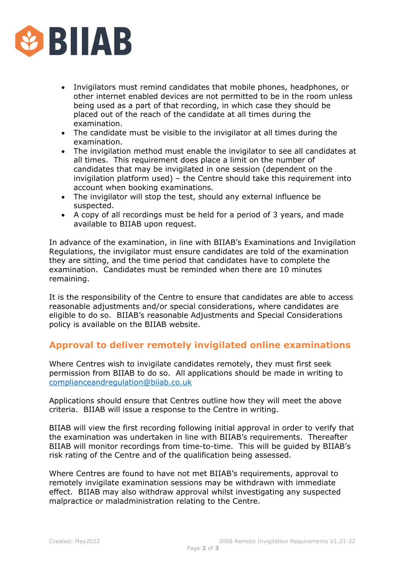

- Invigilators must remind candidates that mobile phones, headphones, or other internet enabled devices are not permitted to be in the room unless being used as a part of that recording, in which case they should be placed out of the reach of the candidate at all times during the examination.
- The candidate must be visible to the invigilator at all times during the examination.
- The invigilation method must enable the invigilator to see all candidates at all times. This requirement does place a limit on the number of candidates that may be invigilated in one session (dependent on the invigilation platform used) – the Centre should take this requirement into account when booking examinations.
- The invigilator will stop the test, should any external influence be suspected.
- A copy of all recordings must be held for a period of 3 years, and made available to BIIAB upon request.

In advance of the examination, in line with BIIAB's Examinations and Invigilation Regulations, the invigilator must ensure candidates are told of the examination they are sitting, and the time period that candidates have to complete the examination. Candidates must be reminded when there are 10 minutes remaining.

It is the responsibility of the Centre to ensure that candidates are able to access reasonable adjustments and/or special considerations, where candidates are eligible to do so. BIIAB's reasonable Adjustments and Special Considerations policy is available on the BIIAB website.

#### **Approval to deliver remotely invigilated online examinations**

Where Centres wish to invigilate candidates remotely, they must first seek permission from BIIAB to do so. All applications should be made in writing to [complianceandregulation@biiab.co.uk](mailto:complianceandregulation@biiab.co.uk)

Applications should ensure that Centres outline how they will meet the above criteria. BIIAB will issue a response to the Centre in writing.

BIIAB will view the first recording following initial approval in order to verify that the examination was undertaken in line with BIIAB's requirements. Thereafter BIIAB will monitor recordings from time-to-time. This will be guided by BIIAB's risk rating of the Centre and of the qualification being assessed.

Where Centres are found to have not met BIIAB's requirements, approval to remotely invigilate examination sessions may be withdrawn with immediate effect. BIIAB may also withdraw approval whilst investigating any suspected malpractice or maladministration relating to the Centre.